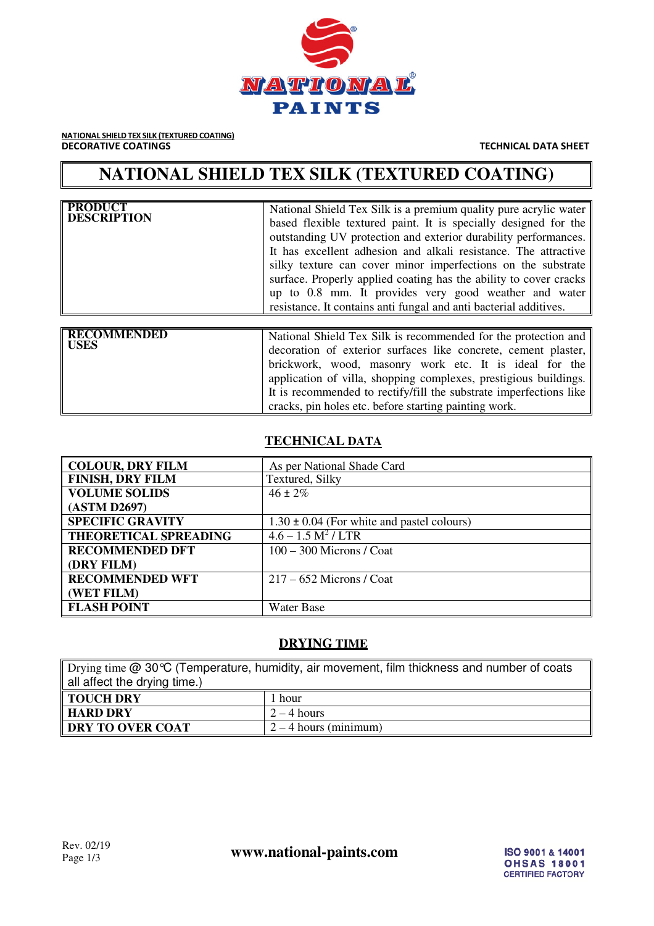

**NATIONAL SHIELD TEX SILK (TEXTURED COATING)**<br>**DECORATIVE COATINGS** 

**TECHNICAL DATA SHEET** 

# **NATIONAL SHIELD TEX SILK (TEXTURED COATING)**

| <b>PRODUCT</b><br><b>DESCRIPTION</b> | National Shield Tex Silk is a premium quality pure acrylic water<br>based flexible textured paint. It is specially designed for the<br>outstanding UV protection and exterior durability performances.<br>It has excellent adhesion and alkali resistance. The attractive<br>silky texture can cover minor imperfections on the substrate<br>surface. Properly applied coating has the ability to cover cracks<br>up to 0.8 mm. It provides very good weather and water<br>resistance. It contains anti-fungal and anti-bacterial additives. |
|--------------------------------------|----------------------------------------------------------------------------------------------------------------------------------------------------------------------------------------------------------------------------------------------------------------------------------------------------------------------------------------------------------------------------------------------------------------------------------------------------------------------------------------------------------------------------------------------|
| <b>RECOMMENDED</b><br><b>USES</b>    | National Shield Tex Silk is recommended for the protection and<br>decoration of exterior surfaces like concrete, cement plaster,<br>brickwork, wood, masonry work etc. It is ideal for the<br>application of villa, shopping complexes, prestigious buildings.<br>It is recommended to rectify/fill the substrate imperfections like                                                                                                                                                                                                         |

### **TECHNICAL DATA**

cracks, pin holes etc. before starting painting work.

| <b>COLOUR, DRY FILM</b>      | As per National Shade Card                     |
|------------------------------|------------------------------------------------|
| <b>FINISH, DRY FILM</b>      | Textured, Silky                                |
| <b>VOLUME SOLIDS</b>         | $46 \pm 2\%$                                   |
| (ASTM D2697)                 |                                                |
| <b>SPECIFIC GRAVITY</b>      | $1.30 \pm 0.04$ (For white and pastel colours) |
| <b>THEORETICAL SPREADING</b> | $4.6 - 1.5 M2 / LTR$                           |
| <b>RECOMMENDED DFT</b>       | $100 - 300$ Microns / Coat                     |
| (DRY FILM)                   |                                                |
| <b>RECOMMENDED WFT</b>       | $217 - 652$ Microns / Coat                     |
| (WET FILM)                   |                                                |
| <b>FLASH POINT</b>           | <b>Water Base</b>                              |

#### **DRYING TIME**

| Drying time @ 30 °C (Temperature, humidity, air movement, film thickness and number of coats |                         |  |
|----------------------------------------------------------------------------------------------|-------------------------|--|
| all affect the drying time.)                                                                 |                         |  |
| I TOUCH DRY                                                                                  | 1 hour                  |  |
| HARD DRY                                                                                     | $2 - 4$ hours           |  |
| DRY TO OVER COAT                                                                             | $2 - 4$ hours (minimum) |  |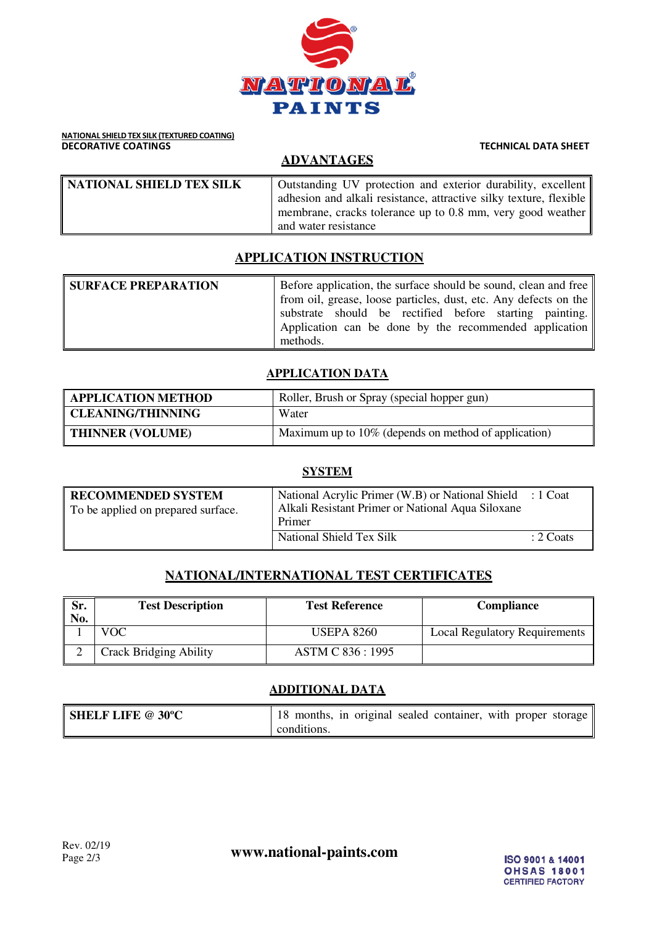

# **NATIONAL SHIELD TEX SILK (TEXTURED COATING)**<br>**DECORATIVE COATINGS**

## **ADVANTAGES**

| NATIONAL SHIELD TEX SILK | Outstanding UV protection and exterior durability, excellent       |
|--------------------------|--------------------------------------------------------------------|
|                          | adhesion and alkali resistance, attractive silky texture, flexible |
|                          | membrane, cracks tolerance up to 0.8 mm, very good weather         |
|                          | and water resistance                                               |

#### **APPLICATION INSTRUCTION**

| <b>SURFACE PREPARATION</b> | Before application, the surface should be sound, clean and free  |
|----------------------------|------------------------------------------------------------------|
|                            | from oil, grease, loose particles, dust, etc. Any defects on the |
|                            | substrate should be rectified before starting painting.          |
|                            | Application can be done by the recommended application           |
|                            | methods.                                                         |

#### **APPLICATION DATA**

| <b>APPLICATION METHOD</b> | Roller, Brush or Spray (special hopper gun)          |  |
|---------------------------|------------------------------------------------------|--|
| <b>CLEANING/THINNING</b>  | Water                                                |  |
| <b>THINNER (VOLUME)</b>   | Maximum up to 10% (depends on method of application) |  |

| <b>SYSTEM</b>                                                   |                                                                                                                          |           |
|-----------------------------------------------------------------|--------------------------------------------------------------------------------------------------------------------------|-----------|
| <b>RECOMMENDED SYSTEM</b><br>To be applied on prepared surface. | National Acrylic Primer (W.B) or National Shield : 1 Coat<br>Alkali Resistant Primer or National Aqua Siloxane<br>Primer |           |
|                                                                 | National Shield Tex Silk                                                                                                 | : 2 Coats |

## **NATIONAL/INTERNATIONAL TEST CERTIFICATES**

| Sr.<br>No. | <b>Test Description</b>       | <b>Test Reference</b> | <b>Compliance</b>             |
|------------|-------------------------------|-----------------------|-------------------------------|
|            | VOC-                          | <b>USEPA 8260</b>     | Local Regulatory Requirements |
|            | <b>Crack Bridging Ability</b> | ASTM C 836:1995       |                               |

#### **ADDITIONAL DATA**

| <b>SHELF LIFE @ 30°C</b> | 18 months, in original sealed container, with proper storage |
|--------------------------|--------------------------------------------------------------|
|                          | conditions.                                                  |

**TECHNICAL DATA SHEET**